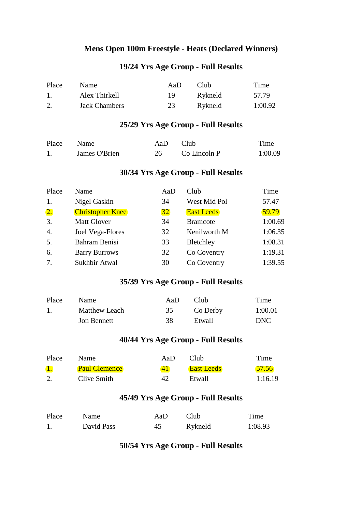#### **Mens Open 100m Freestyle - Heats (Declared Winners)**

## **19/24 Yrs Age Group - Full Results**

| Place            | <b>Name</b>          | AaD | Club.   | Time    |
|------------------|----------------------|-----|---------|---------|
| $\overline{1}$ . | Alex Thirkell        | 19. | Rykneld | 57.79   |
| 2.               | <b>Jack Chambers</b> | 23  | Rykneld | 1:00.92 |

## **25/29 Yrs Age Group - Full Results**

| Place Name |               | AaD | - Club       | Time    |
|------------|---------------|-----|--------------|---------|
|            | James O'Brien |     | Co Lincoln P | 1:00.09 |

## **30/34 Yrs Age Group - Full Results**

| Place            | Name                    | AaD | Club              | Time    |
|------------------|-------------------------|-----|-------------------|---------|
| 1.               | Nigel Gaskin            | 34  | West Mid Pol      | 57.47   |
| $\overline{2}$ . | <b>Christopher Knee</b> | 32  | <b>East Leeds</b> | 59.79   |
| 3.               | <b>Matt Glover</b>      | 34  | <b>Bramcote</b>   | 1:00.69 |
| 4.               | Joel Vega-Flores        | 32  | Kenilworth M      | 1:06.35 |
| 5.               | Bahram Benisi           | 33  | Bletchley         | 1:08.31 |
| 6.               | <b>Barry Burrows</b>    | 32  | Co Coventry       | 1:19.31 |
| 7.               | Sukhbir Atwal           | 30  | Co Coventry       | 1:39.55 |

## **35/39 Yrs Age Group - Full Results**

| Place          | <b>Name</b>   | AaD. | Club <sub></sub> | Time    |
|----------------|---------------|------|------------------|---------|
| $\mathbf{1}$ . | Matthew Leach | 35   | Co Derby         | 1:00.01 |
|                | Jon Bennett   | 38   | Etwall           | DNC     |

## **40/44 Yrs Age Group - Full Results**

| Place | <b>Name</b>          | AaD. | Club              | Time    |
|-------|----------------------|------|-------------------|---------|
|       | <b>Paul Clemence</b> | 41   | <b>East Leeds</b> | 57.56   |
|       | Clive Smith          |      | Etwall            | 1:16.19 |

## **45/49 Yrs Age Group - Full Results**

| Place | Name       | AaD | Club    | Time    |
|-------|------------|-----|---------|---------|
|       | David Pass | 45  | Rykneld | 1:08.93 |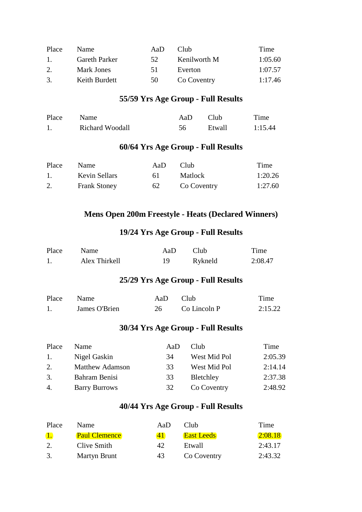| Place                     | <b>Name</b>          | AaD | Club.        | Time    |
|---------------------------|----------------------|-----|--------------|---------|
| $\mathbf{1}_{\mathbf{1}}$ | <b>Gareth Parker</b> | 52. | Kenilworth M | 1:05.60 |
| 2.                        | Mark Jones           | 51  | Everton      | 1:07.57 |
| $\mathcal{R}$             | Keith Burdett        | 50  | Co Coventry  | 1:17.46 |

| Place | Name            | AaD | Club   | Time    |
|-------|-----------------|-----|--------|---------|
|       | Richard Woodall | 56. | Etwall | 1:15.44 |

## **60/64 Yrs Age Group - Full Results**

| Place                     | <b>Name</b>         | AaD | Club.          | Time    |
|---------------------------|---------------------|-----|----------------|---------|
| $\mathbf{1}_{\mathbf{1}}$ | Kevin Sellars       | 6 L | <b>Matlock</b> | 1:20.26 |
|                           | <b>Frank Stoney</b> | 62  | Co Coventry    | 1:27.60 |

## **Mens Open 200m Freestyle - Heats (Declared Winners)**

## **19/24 Yrs Age Group - Full Results**

| Place | Name          | Aa $D$ | Club    | Time    |
|-------|---------------|--------|---------|---------|
|       | Alex Thirkell |        | Rykneld | 2:08.47 |

## **25/29 Yrs Age Group - Full Results**

| Place Name |               | AaD Club |              | Time    |
|------------|---------------|----------|--------------|---------|
|            | James O'Brien |          | Co Lincoln P | 2:15.22 |

## **30/34 Yrs Age Group - Full Results**

| Place            | <b>Name</b>            | AaD | <b>Club</b>  | Time    |
|------------------|------------------------|-----|--------------|---------|
| $\overline{1}$ . | Nigel Gaskin           | 34  | West Mid Pol | 2:05.39 |
| 2.               | <b>Matthew Adamson</b> | 33  | West Mid Pol | 2:14.14 |
| 3.               | Bahram Benisi          | 33  | Bletchley    | 2:37.38 |
| 4.               | <b>Barry Burrows</b>   | 32  | Co Coventry  | 2:48.92 |

| Place          | <b>Name</b>          | AaD | Club              | Time    |
|----------------|----------------------|-----|-------------------|---------|
| $\mathbf{1}$ . | <b>Paul Clemence</b> | 4 I | <b>East Leeds</b> | 2:08.18 |
|                | Clive Smith          | 42  | Etwall            | 2:43.17 |
| 3.             | <b>Martyn Brunt</b>  | 43  | Co Coventry       | 2:43.32 |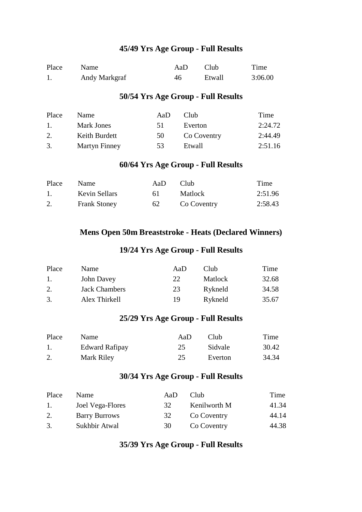| Place | <b>Name</b>   | AaD. | Club   | Time    |
|-------|---------------|------|--------|---------|
|       | Andy Markgraf | 46   | Etwall | 3:06.00 |

#### **50/54 Yrs Age Group - Full Results**

| Place                     | <b>Name</b>          | AaD | Club        | Time    |
|---------------------------|----------------------|-----|-------------|---------|
| $\mathbf{1}_{\mathbf{1}}$ | Mark Jones           | 51  | Everton     | 2:24.72 |
| 2.                        | Keith Burdett        | 50  | Co Coventry | 2:44.49 |
| 3.                        | <b>Martyn Finney</b> | 53. | Etwall      | 2:51.16 |

## **60/64 Yrs Age Group - Full Results**

| Place          | Name                | AaD | Club.       | Time    |
|----------------|---------------------|-----|-------------|---------|
| $\mathbf{1}$ . | Kevin Sellars       | 6 L | Matlock     | 2:51.96 |
|                | <b>Frank Stoney</b> | 62  | Co Coventry | 2:58.43 |

#### **Mens Open 50m Breaststroke - Heats (Declared Winners)**

#### **19/24 Yrs Age Group - Full Results**

| Place | <b>Name</b>          | AaD | Club           | Time  |
|-------|----------------------|-----|----------------|-------|
| -1.   | John Davey           | 22  | <b>Matlock</b> | 32.68 |
| 2.    | <b>Jack Chambers</b> | 23  | Rykneld        | 34.58 |
| 3.    | Alex Thirkell        | 19  | Rykneld        | 35.67 |

#### **25/29 Yrs Age Group - Full Results**

| Place | <b>Name</b>           | AaD | Club.   | Time  |
|-------|-----------------------|-----|---------|-------|
|       | <b>Edward Rafipay</b> | 25  | Sidvale | 30.42 |
|       | Mark Riley            | 25. | Everton | 34.34 |

#### **30/34 Yrs Age Group - Full Results**

| Place | <b>Name</b>          | Aal) | Club         | Time  |
|-------|----------------------|------|--------------|-------|
| -1.   | Joel Vega-Flores     | 32   | Kenilworth M | 41.34 |
| 2.    | <b>Barry Burrows</b> | 32   | Co Coventry  | 44.14 |
| 3.    | Sukhbir Atwal        | 30   | Co Coventry  | 44.38 |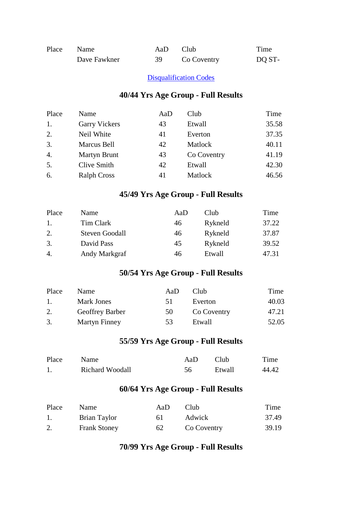| Place Name |              | AaD. | Club <sub>1</sub> | Time   |
|------------|--------------|------|-------------------|--------|
|            | Dave Fawkner | 39.  | Co Coventry       | DO ST- |

#### **[Disqualification Codes](javascript:showPage()**

#### **40/44 Yrs Age Group - Full Results**

| Place            | Name                 | AaD | Club        | Time  |
|------------------|----------------------|-----|-------------|-------|
| 1.               | <b>Garry Vickers</b> | 43  | Etwall      | 35.58 |
| 2.               | Neil White           | 41  | Everton     | 37.35 |
| 3.               | Marcus Bell          | 42  | Matlock     | 40.11 |
| $\overline{4}$ . | Martyn Brunt         | 43  | Co Coventry | 41.19 |
| 5.               | Clive Smith          | 42  | Etwall      | 42.30 |
| 6.               | <b>Ralph Cross</b>   | 41  | Matlock     | 46.56 |

## **45/49 Yrs Age Group - Full Results**

| Place            | Name                  | AaD | Club    | Time  |
|------------------|-----------------------|-----|---------|-------|
| $\overline{1}$ . | Tim Clark             | 46  | Rykneld | 37.22 |
| 2.               | <b>Steven Goodall</b> | 46  | Rykneld | 37.87 |
| 3.               | David Pass            | 45  | Rykneld | 39.52 |
| 4.               | Andy Markgraf         | 46  | Etwall  | 47.31 |

## **50/54 Yrs Age Group - Full Results**

| Place | <b>Name</b>     | AaD | Club        | Time  |
|-------|-----------------|-----|-------------|-------|
| $\pm$ | Mark Jones      | 51  | Everton     | 40.03 |
| 2.    | Geoffrey Barber | 50  | Co Coventry | 47.21 |
| 3.    | Martyn Finney   | 53. | Etwall      | 52.05 |

## **55/59 Yrs Age Group - Full Results**

| Place | Name            | AaD | Club <sub>.</sub> | Time  |
|-------|-----------------|-----|-------------------|-------|
|       | Richard Woodall | 56  | Etwall            | 44.42 |

## **60/64 Yrs Age Group - Full Results**

| Place | <b>Name</b>         | AaD | Club.       | Time  |
|-------|---------------------|-----|-------------|-------|
|       | Brian Taylor        | 61. | Adwick      | 37.49 |
|       | <b>Frank Stoney</b> | 62  | Co Coventry | 39.19 |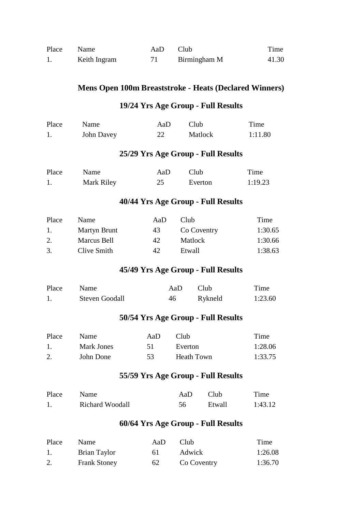| Place | Name         | AaD | Club         | Time  |
|-------|--------------|-----|--------------|-------|
|       | Keith Ingram |     | Birmingham M | 41.30 |

#### **Mens Open 100m Breaststroke - Heats (Declared Winners)**

## **19/24 Yrs Age Group - Full Results**

| Place | Name       | AaD. | Club    | Time    |
|-------|------------|------|---------|---------|
|       | John Davey | 22   | Matlock | 1:11.80 |

## **25/29 Yrs Age Group - Full Results**

| Place | Name       | AaD | Club -  | Time    |
|-------|------------|-----|---------|---------|
|       | Mark Riley |     | Everton | 1:19.23 |

#### **40/44 Yrs Age Group - Full Results**

| Place            | <b>Name</b>  | AaD | Club.       | Time    |
|------------------|--------------|-----|-------------|---------|
| $\overline{1}$ . | Martyn Brunt | 43  | Co Coventry | 1:30.65 |
| 2.               | Marcus Bell  | 42  | Matlock     | 1:30.66 |
| 3.               | Clive Smith  | 42  | Etwall      | 1:38.63 |

#### **45/49 Yrs Age Group - Full Results**

| Place | Name                  | AaD | - Club  | Time    |
|-------|-----------------------|-----|---------|---------|
|       | <b>Steven Goodall</b> | 46  | Rykneld | 1:23.60 |

#### **50/54 Yrs Age Group - Full Results**

| Place | <b>Name</b> | AaD. | Club.      | Time    |
|-------|-------------|------|------------|---------|
|       | Mark Jones  |      | Everton    | 1:28.06 |
|       | John Done   | 53.  | Heath Town | 1:33.75 |

# **55/59 Yrs Age Group - Full Results**

| Place | <b>Name</b>            | AaD | - Club | Time    |
|-------|------------------------|-----|--------|---------|
|       | <b>Richard Woodall</b> | 56  | Etwall | 1:43.12 |

| Place | <b>Name</b>         | AaD | Club -      | Time    |
|-------|---------------------|-----|-------------|---------|
|       | Brian Taylor        | 61. | Adwick      | 1:26.08 |
|       | <b>Frank Stoney</b> | 62  | Co Coventry | 1:36.70 |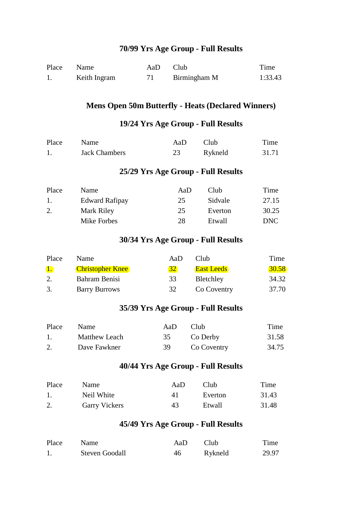| Place | Name         | AaD | Club <sub>-</sub> | Time    |
|-------|--------------|-----|-------------------|---------|
|       | Keith Ingram |     | Birmingham M      | 1:33.43 |

#### **Mens Open 50m Butterfly - Heats (Declared Winners)**

#### **19/24 Yrs Age Group - Full Results**

| Place | Name                 | AaD. | - Club  | Time  |
|-------|----------------------|------|---------|-------|
|       | <b>Jack Chambers</b> |      | Rykneld | 31.71 |

#### **25/29 Yrs Age Group - Full Results**

| Place          | <b>Name</b>           | AaD | Club    | Time  |
|----------------|-----------------------|-----|---------|-------|
| $\mathbf{1}$ . | <b>Edward Rafipay</b> | 25  | Sidvale | 27.15 |
| 2.             | Mark Riley            | 25  | Everton | 30.25 |
|                | Mike Forbes           | 28  | Etwall  | DNC   |

### **30/34 Yrs Age Group - Full Results**

| Place          | <b>Name</b>             | AaD | Club              | Time         |
|----------------|-------------------------|-----|-------------------|--------------|
| $\mathbf{1}$ . | <b>Christopher Knee</b> | 32  | <b>East Leeds</b> | <b>30.58</b> |
|                | Bahram Benisi           | 33  | Bletchley         | 34.32        |
| 3.             | <b>Barry Burrows</b>    | 32  | Co Coventry       | 37.70        |

#### **35/39 Yrs Age Group - Full Results**

| Place | Name          | AaD. | Club <sub></sub> | Time  |
|-------|---------------|------|------------------|-------|
|       | Matthew Leach | 35   | Co Derby         | 31.58 |
|       | Dave Fawkner  | -39- | Co Coventry      | 34.75 |

## **40/44 Yrs Age Group - Full Results**

| Place | <b>Name</b>          | AaD | Club    | Time  |
|-------|----------------------|-----|---------|-------|
|       | Neil White           | 4 I | Everton | 31.43 |
|       | <b>Garry Vickers</b> | 43  | Etwall  | 31.48 |

| Place | <b>Name</b>           | AaD | Club <sub>-</sub> | Time  |
|-------|-----------------------|-----|-------------------|-------|
|       | <b>Steven Goodall</b> | 46  | Rykneld           | 29.97 |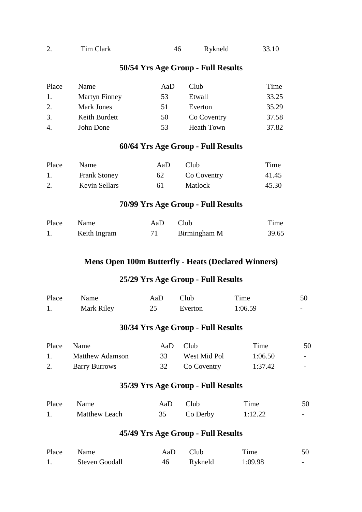| <u>، ،</u> | Tim Clark | 46 | Rykneld | 33.10 |
|------------|-----------|----|---------|-------|
|            |           |    |         |       |

| Place | Name              | AaD | Club              | Time  |
|-------|-------------------|-----|-------------------|-------|
| -1.   | Martyn Finney     | 53  | Etwall            | 33.25 |
| 2.    | <b>Mark Jones</b> | 51  | Everton           | 35.29 |
| 3.    | Keith Burdett     | 50  | Co Coventry       | 37.58 |
| 4.    | John Done         | 53  | <b>Heath Town</b> | 37.82 |

## **60/64 Yrs Age Group - Full Results**

| Place | <b>Name</b>         | AaD. | Club        | Time  |
|-------|---------------------|------|-------------|-------|
|       | <b>Frank Stoney</b> | 62   | Co Coventry | 41.45 |
|       | Kevin Sellars       | 6 I  | Matlock     | 45.30 |

#### **70/99 Yrs Age Group - Full Results**

| Place Name |              | AaD Club |              | Time  |
|------------|--------------|----------|--------------|-------|
|            | Keith Ingram |          | Birmingham M | 39.65 |

#### **Mens Open 100m Butterfly - Heats (Declared Winners)**

#### **25/29 Yrs Age Group - Full Results**

| Place | Name       | AaD | Club    | Time    | 50                       |
|-------|------------|-----|---------|---------|--------------------------|
|       | Mark Riley |     | Everton | 1:06.59 | $\overline{\phantom{0}}$ |

## **30/34 Yrs Age Group - Full Results**

|     | Place Name           |    | AaD Club       | Time    | 50                       |
|-----|----------------------|----|----------------|---------|--------------------------|
| 1.7 | Matthew Adamson      | 33 | West Mid Pol   | 1:06.50 | $\overline{\phantom{0}}$ |
|     | <b>Barry Burrows</b> |    | 32 Co Coventry | 1:37.42 |                          |

#### **35/39 Yrs Age Group - Full Results**

| Place Name |                      | AaD Club |          | Time    | 50                       |
|------------|----------------------|----------|----------|---------|--------------------------|
|            | <b>Matthew Leach</b> |          | Co Derby | 1:12.22 | $\overline{\phantom{0}}$ |

| Place | Name                  | AaD. | Club <sub>1</sub> | Time    | 50                       |
|-------|-----------------------|------|-------------------|---------|--------------------------|
|       | <b>Steven Goodall</b> | 46   | Rykneld           | 1:09.98 | $\overline{\phantom{0}}$ |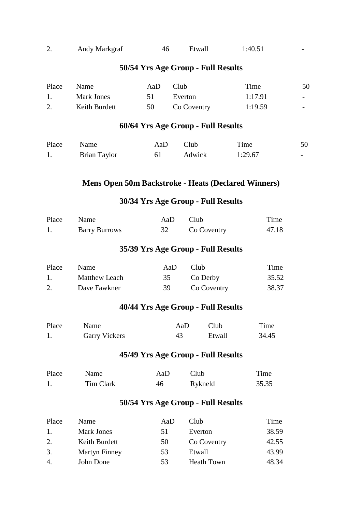|  | Andy Markgraf | 46 | Etwall | 1:40.51 |  |
|--|---------------|----|--------|---------|--|
|--|---------------|----|--------|---------|--|

| Place | <b>Name</b>   | AaD. | Club        | Time    | 50                       |
|-------|---------------|------|-------------|---------|--------------------------|
|       | Mark Jones    |      | Everton     | 1:17.91 | $\overline{\phantom{a}}$ |
|       | Keith Burdett | 50   | Co Coventry | 1:19.59 | $\overline{\phantom{0}}$ |

## **60/64 Yrs Age Group - Full Results**

| Place | Name         | AaD | Club <sub></sub> | Time    | 50 |
|-------|--------------|-----|------------------|---------|----|
|       | Brian Taylor | -61 | Adwick           | 1:29.67 |    |

#### **Mens Open 50m Backstroke - Heats (Declared Winners)**

#### **30/34 Yrs Age Group - Full Results**

| Place Name |                      | AaD Club |             | Time  |
|------------|----------------------|----------|-------------|-------|
|            | <b>Barry Burrows</b> |          | Co Coventry | 47.18 |

## **35/39 Yrs Age Group - Full Results**

| Place | Name          | AaD | Club <sub></sub> | Time  |
|-------|---------------|-----|------------------|-------|
|       | Matthew Leach | 35  | Co Derby         | 35.52 |
|       | Dave Fawkner  | 39. | Co Coventry      | 38.37 |

## **40/44 Yrs Age Group - Full Results**

| Place | Name                 | AaD | Club   | Time  |
|-------|----------------------|-----|--------|-------|
|       | <b>Garry Vickers</b> | 43  | Etwall | 34.45 |

### **45/49 Yrs Age Group - Full Results**

| Place | Name      | AaD | Club    | Time  |
|-------|-----------|-----|---------|-------|
|       | Tim Clark | 46  | Rykneld | 35.35 |

| Place            | <b>Name</b>   | AaD | Club              | Time  |
|------------------|---------------|-----|-------------------|-------|
| $\overline{1}$ . | Mark Jones    | 51  | Everton           | 38.59 |
| 2.               | Keith Burdett | 50  | Co Coventry       | 42.55 |
| 3.               | Martyn Finney | 53  | Etwall            | 43.99 |
| 4.               | John Done     | 53  | <b>Heath Town</b> | 48.34 |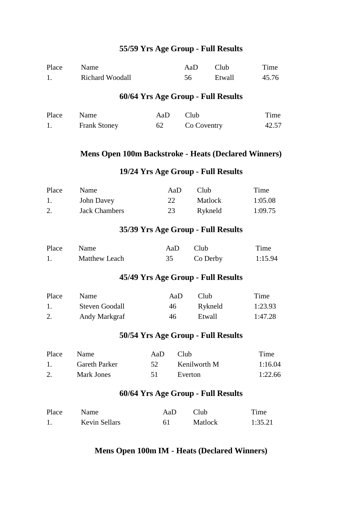| Place | Name                   | AaD | Club   | Time  |
|-------|------------------------|-----|--------|-------|
|       | <b>Richard Woodall</b> |     | Etwall | 45.76 |

#### **60/64 Yrs Age Group - Full Results**

| Place Name |                     | AaD | Club <sub>1</sub> | Time  |
|------------|---------------------|-----|-------------------|-------|
|            | <b>Frank Stoney</b> | 62  | Co Coventry       | 42.57 |

#### **Mens Open 100m Backstroke - Heats (Declared Winners)**

## **19/24 Yrs Age Group - Full Results**

| Place | <b>Name</b>          | AaD | Club.          | Time    |
|-------|----------------------|-----|----------------|---------|
|       | John Davey           |     | <b>Matlock</b> | 1:05.08 |
|       | <b>Jack Chambers</b> | 23  | Rykneld        | 1:09.75 |

#### **35/39 Yrs Age Group - Full Results**

| Place | Name                 | AaD. | - Club   | Time    |
|-------|----------------------|------|----------|---------|
|       | <b>Matthew Leach</b> |      | Co Derby | 1:15.94 |

## **45/49 Yrs Age Group - Full Results**

| Place | Name                  | AaD | Club.   | Time    |
|-------|-----------------------|-----|---------|---------|
|       | <b>Steven Goodall</b> | 46. | Rykneld | 1:23.93 |
|       | Andy Markgraf         | 46  | Etwall  | 1:47.28 |

#### **50/54 Yrs Age Group - Full Results**

| Place                         | Name          | AaD. | Club.        | Time    |
|-------------------------------|---------------|------|--------------|---------|
| $\mathbf{1}$ and $\mathbf{1}$ | Gareth Parker | -52. | Kenilworth M | 1:16.04 |
|                               | Mark Jones    |      | Everton      | 1:22.66 |

#### **60/64 Yrs Age Group - Full Results**

| Place | Name.         | AaD | Club    | Time    |
|-------|---------------|-----|---------|---------|
|       | Kevin Sellars | 61  | Matlock | 1:35.21 |

#### **Mens Open 100m IM - Heats (Declared Winners)**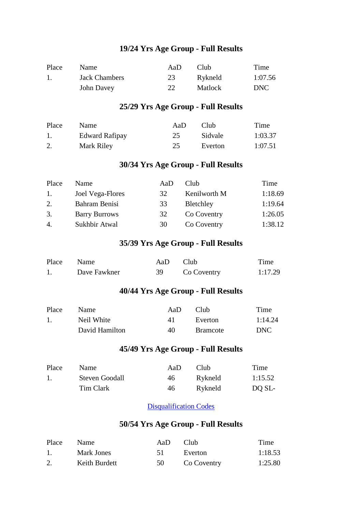| Place | <b>Name</b>   | AaD | Club <sup>-</sup> | Time       |
|-------|---------------|-----|-------------------|------------|
|       | Jack Chambers | 23  | Rykneld           | 1:07.56    |
|       | John Davey    |     | <b>Matlock</b>    | <b>DNC</b> |

## **25/29 Yrs Age Group - Full Results**

| Place | <b>Name</b>    | AaD. | Club    | Time    |
|-------|----------------|------|---------|---------|
|       | Edward Rafipay | 25   | Sidvale | 1:03.37 |
|       | Mark Riley     | 25   | Everton | 1:07.51 |

#### **30/34 Yrs Age Group - Full Results**

| Place | Name                 | AaD | Club         | Time    |
|-------|----------------------|-----|--------------|---------|
| -1.   | Joel Vega-Flores     | 32  | Kenilworth M | 1:18.69 |
| 2.    | Bahram Benisi        | 33  | Bletchley    | 1:19.64 |
| 3.    | <b>Barry Burrows</b> | 32  | Co Coventry  | 1:26.05 |
| 4.    | Sukhbir Atwal        | 30  | Co Coventry  | 1:38.12 |

#### **35/39 Yrs Age Group - Full Results**

| Place Name |              | AaD Club |             | Time    |
|------------|--------------|----------|-------------|---------|
|            | Dave Fawkner |          | Co Coventry | 1:17.29 |

## **40/44 Yrs Age Group - Full Results**

| Place | <b>Name</b>    | AaD. | Club            | Time    |
|-------|----------------|------|-----------------|---------|
|       | Neil White     | 41   | Everton         | 1:14.24 |
|       | David Hamilton | 40   | <b>Bramcote</b> | DNC     |

#### **45/49 Yrs Age Group - Full Results**

| Place | Name                  | AaD | Club.   | Time    |
|-------|-----------------------|-----|---------|---------|
|       | <b>Steven Goodall</b> | 46  | Rykneld | 1:15.52 |
|       | Tim Clark             | 46  | Rykneld | DO SL-  |

#### **[Disqualification Codes](javascript:showPage()**

| Place | Name          | AaD. | Club -      | Time    |
|-------|---------------|------|-------------|---------|
|       | Mark Jones    | 51   | Everton     | 1:18.53 |
|       | Keith Burdett | 50   | Co Coventry | 1:25.80 |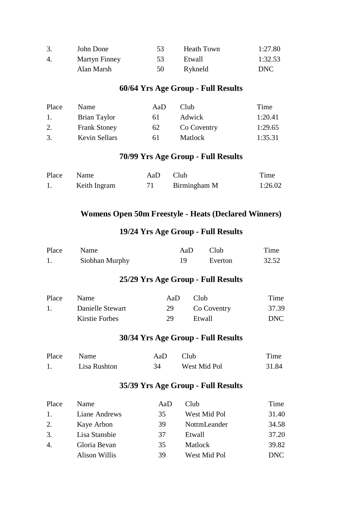|                | John Done     | 53   | Heath Town | 1:27.80 |
|----------------|---------------|------|------------|---------|
| $\overline{4}$ | Martyn Finney | 53.  | Etwall     | 1:32.53 |
|                | Alan Marsh    | 50 V | Rykneld    | DNC     |

| Place          | <b>Name</b>         | AaD | Club.          | Time    |
|----------------|---------------------|-----|----------------|---------|
| $\mathbf{1}$ . | Brian Taylor        | 6 I | <b>Adwick</b>  | 1:20.41 |
| 2.             | <b>Frank Stoney</b> | 62  | Co Coventry    | 1:29.65 |
| 3.             | Kevin Sellars       | 61  | <b>Matlock</b> | 1:35.31 |

## **70/99 Yrs Age Group - Full Results**

| Place Name |              | AaD Club |              | Time    |
|------------|--------------|----------|--------------|---------|
|            | Keith Ingram |          | Birmingham M | 1:26.02 |

## **Womens Open 50m Freestyle - Heats (Declared Winners)**

## **19/24 Yrs Age Group - Full Results**

| Place | Name           | AaD. | - Club  | Time  |
|-------|----------------|------|---------|-------|
|       | Siobhan Murphy |      | Everton | 32.52 |

## **25/29 Yrs Age Group - Full Results**

| Place | <b>Name</b>      | AaD. | Club.       | Time  |
|-------|------------------|------|-------------|-------|
|       | Danielle Stewart | 29   | Co Coventry | 37.39 |
|       | Kirstie Forbes   | 29.  | Etwall      | DNC   |

#### **30/34 Yrs Age Group - Full Results**

| Place | Name         | Aa $\bf{D}$ | Club C       | Time  |
|-------|--------------|-------------|--------------|-------|
|       | Lisa Rushton | 34          | West Mid Pol | 31.84 |

| Place          | Name          | AaD | Club         | Time       |
|----------------|---------------|-----|--------------|------------|
| $\mathbf{1}$ . | Liane Andrews | 35  | West Mid Pol | 31.40      |
| 2.             | Kaye Arbon    | 39  | NottmLeander | 34.58      |
| 3.             | Lisa Stansbie | 37  | Etwall       | 37.20      |
| 4.             | Gloria Bevan  | 35  | Matlock      | 39.82      |
|                | Alison Willis | 39  | West Mid Pol | <b>DNC</b> |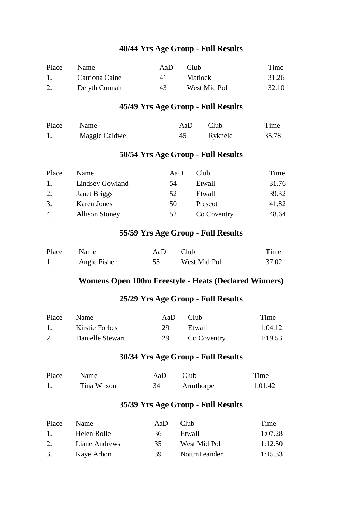| Place            | <b>Name</b>    | AaD | Club.        | Time  |
|------------------|----------------|-----|--------------|-------|
| $\overline{1}$ . | Catriona Caine | 4 I | Matlock      | 31.26 |
|                  | Delyth Cunnah  | 43  | West Mid Pol | 32.10 |

## **45/49 Yrs Age Group - Full Results**

| Place | <b>Name</b>     | AaD | - Club  | Time  |
|-------|-----------------|-----|---------|-------|
|       | Maggie Caldwell | 45  | Rykneld | 35.78 |

## **50/54 Yrs Age Group - Full Results**

| Place | <b>Name</b>           | AaD | Club        | Time  |
|-------|-----------------------|-----|-------------|-------|
| 1.    | Lindsey Gowland       | 54  | Etwall      | 31.76 |
| 2.    | Janet Briggs          | 52  | Etwall      | 39.32 |
| 3.    | Karen Jones           | 50  | Prescot     | 41.82 |
| 4.    | <b>Allison Stoney</b> | 52  | Co Coventry | 48.64 |

#### **55/59 Yrs Age Group - Full Results**

| Place | Name         | AaD. | Club         | Time  |
|-------|--------------|------|--------------|-------|
|       | Angie Fisher |      | West Mid Pol | 37.02 |

#### **Womens Open 100m Freestyle - Heats (Declared Winners)**

## **25/29 Yrs Age Group - Full Results**

| Place | <b>Name</b>      | AaD. | Club.       | Time    |
|-------|------------------|------|-------------|---------|
|       | Kirstie Forbes   | 29.  | Etwall      | 1:04.12 |
|       | Danielle Stewart | 29.  | Co Coventry | 1:19.53 |

#### **30/34 Yrs Age Group - Full Results**

| Place | Name        | AaD | Club      | Time    |
|-------|-------------|-----|-----------|---------|
|       | Tina Wilson | 34  | Armthorpe | 1:01.42 |

| Place         | <b>Name</b>   | AaD | Club.        | Time    |
|---------------|---------------|-----|--------------|---------|
| $\mathbf{1}$  | Helen Rolle   | 36  | Etwall       | 1:07.28 |
| $\mathcal{D}$ | Liane Andrews | 35. | West Mid Pol | 1:12.50 |
| 3.            | Kaye Arbon    | 39. | NottmLeander | 1:15.33 |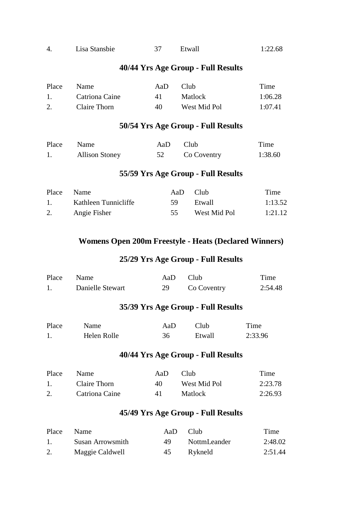| 4. | Lisa Stansbie | Etwall | 1:22.68 |
|----|---------------|--------|---------|
|    |               |        |         |

| Place        | <b>Name</b>    | AaD. | Club.        | Time    |
|--------------|----------------|------|--------------|---------|
| $\mathbf{1}$ | Catriona Caine | 4 I  | Matlock      | 1:06.28 |
|              | Claire Thorn   | 40   | West Mid Pol | 1:07.41 |

#### **50/54 Yrs Age Group - Full Results**

| Place Name |                       | AaD Club |             | Time    |
|------------|-----------------------|----------|-------------|---------|
|            | <b>Allison Stoney</b> |          | Co Coventry | 1:38.60 |

## **55/59 Yrs Age Group - Full Results**

| Place Name |                      | AaD Club |              | Time    |
|------------|----------------------|----------|--------------|---------|
|            | Kathleen Tunnicliffe | -59      | Etwall       | 1:13.52 |
|            | Angie Fisher         | 55       | West Mid Pol | 1:21.12 |

#### **Womens Open 200m Freestyle - Heats (Declared Winners)**

## **25/29 Yrs Age Group - Full Results**

| Place Name |                  | AaD Club |             | Time    |
|------------|------------------|----------|-------------|---------|
|            | Danielle Stewart |          | Co Coventry | 2:54.48 |

## **35/39 Yrs Age Group - Full Results**

| Place | Name        | AaD | - Club | Time    |
|-------|-------------|-----|--------|---------|
|       | Helen Rolle | 36  | Etwall | 2:33.96 |

### **40/44 Yrs Age Group - Full Results**

| Place | Name.          | AaD. | Club.        | Time    |
|-------|----------------|------|--------------|---------|
|       | Claire Thorn   | 40   | West Mid Pol | 2:23.78 |
|       | Catriona Caine | 4 I  | Matlock      | 2:26.93 |

| Place | Name             | AaD. | Club         | Time    |
|-------|------------------|------|--------------|---------|
|       | Susan Arrowsmith | 49.  | NottmLeander | 2:48.02 |
|       | Maggie Caldwell  | -45  | Rykneld      | 2:51.44 |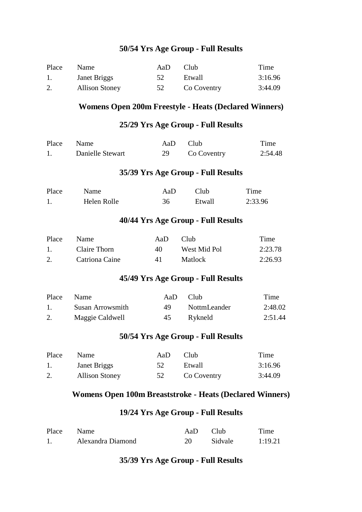| Place | Name                  | AaD | Club.       | Time    |
|-------|-----------------------|-----|-------------|---------|
|       | Janet Briggs          | 52  | Etwall      | 3:16.96 |
|       | <b>Allison Stoney</b> | 52  | Co Coventry | 3:44.09 |

#### **Womens Open 200m Freestyle - Heats (Declared Winners)**

#### **25/29 Yrs Age Group - Full Results**

| Place Name |                  | AaD Club |             | Time    |
|------------|------------------|----------|-------------|---------|
|            | Danielle Stewart |          | Co Coventry | 2:54.48 |

#### **35/39 Yrs Age Group - Full Results**

| Place | Name        | AaD | Club.  | Time    |
|-------|-------------|-----|--------|---------|
|       | Helen Rolle | 36  | Etwall | 2:33.96 |

#### **40/44 Yrs Age Group - Full Results**

| Place | <b>Name</b>    | AaD | Club.          | Time    |
|-------|----------------|-----|----------------|---------|
|       | Claire Thorn   | 40  | West Mid Pol   | 2:23.78 |
|       | Catriona Caine | 41  | <b>Matlock</b> | 2:26.93 |

## **45/49 Yrs Age Group - Full Results**

| Place | Name             | AaD. | Club.        | Time    |
|-------|------------------|------|--------------|---------|
|       | Susan Arrowsmith | 49   | NottmLeander | 2:48.02 |
|       | Maggie Caldwell  | 45   | Rykneld      | 2:51.44 |

#### **50/54 Yrs Age Group - Full Results**

| Place          | <b>Name</b>           | AaD | Club.       | Time    |
|----------------|-----------------------|-----|-------------|---------|
| $\mathbf{1}$ . | Janet Briggs          | 52  | Etwall      | 3:16.96 |
|                | <b>Allison Stoney</b> | 52  | Co Coventry | 3:44.09 |

#### **Womens Open 100m Breaststroke - Heats (Declared Winners)**

#### **19/24 Yrs Age Group - Full Results**

| Place Name |                   | AaD Club |         | Time    |
|------------|-------------------|----------|---------|---------|
|            | Alexandra Diamond |          | Sidvale | 1:19.21 |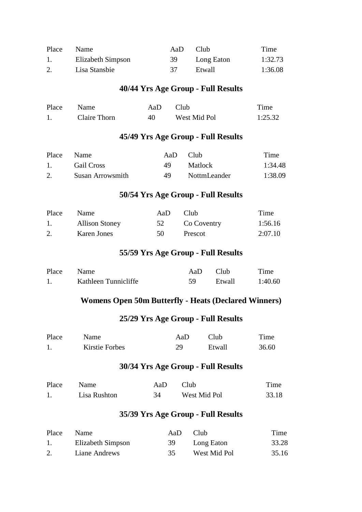| Place | <b>Name</b>       | AaD. | Club <sub></sub> | Time    |
|-------|-------------------|------|------------------|---------|
|       | Elizabeth Simpson | 39   | Long Eaton       | 1:32.73 |
|       | Lisa Stansbie     | 37   | Etwall           | 1:36.08 |

| Place | Name         | AaD | - Club       | Time    |
|-------|--------------|-----|--------------|---------|
|       | Claire Thorn | 40  | West Mid Pol | 1:25.32 |

#### **45/49 Yrs Age Group - Full Results**

| Place | – Name           | AaD. | Club <sup>1</sup> | Time    |
|-------|------------------|------|-------------------|---------|
|       | Gail Cross       | 49.  | <b>Matlock</b>    | 1:34.48 |
|       | Susan Arrowsmith | 49   | NottmLeander      | 1:38.09 |

## **50/54 Yrs Age Group - Full Results**

| Place | Name                  | AaD. | Club -         | Time    |
|-------|-----------------------|------|----------------|---------|
| 1.    | <b>Allison Stoney</b> |      | 52 Co Coventry | 1:56.16 |
|       | Karen Jones           | 50 L | Prescot        | 2:07.10 |

## **55/59 Yrs Age Group - Full Results**

| Place Name |                      | AaD Club |        | Time    |
|------------|----------------------|----------|--------|---------|
|            | Kathleen Tunnicliffe | 59.      | Etwall | 1:40.60 |

### **Womens Open 50m Butterfly - Heats (Declared Winners)**

#### **25/29 Yrs Age Group - Full Results**

| Place | <b>Name</b>    | AaD | Club   | Time  |
|-------|----------------|-----|--------|-------|
|       | Kirstie Forbes | 29  | Etwall | 36.60 |

#### **30/34 Yrs Age Group - Full Results**

| Place | Name         | AaD | – Club       | Time  |
|-------|--------------|-----|--------------|-------|
|       | Lisa Rushton | 34  | West Mid Pol | 33.18 |

| Place | <b>Name</b>       | AaD | Club <sub></sub> | Time  |
|-------|-------------------|-----|------------------|-------|
|       | Elizabeth Simpson | 39  | Long Eaton       | 33.28 |
|       | Liane Andrews     | 35  | West Mid Pol     | 35.16 |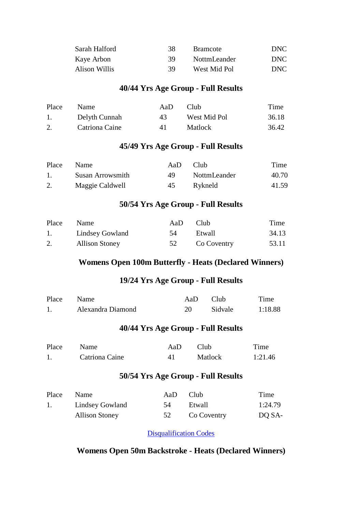| Sarah Halford | 38. | <b>Bramcote</b> | DNC - |
|---------------|-----|-----------------|-------|
| Kaye Arbon    | 39. | NottmLeander    | DNC.  |
| Alison Willis | 39  | West Mid Pol    | DNC - |

| Place | <b>Name</b>    | Aal) | Club.          | Time  |
|-------|----------------|------|----------------|-------|
|       | Delyth Cunnah  | 43.  | West Mid Pol   | 36.18 |
|       | Catriona Caine | 41   | <b>Matlock</b> | 36.42 |

#### **45/49 Yrs Age Group - Full Results**

| Place | <b>Name</b>      | AaD. | Club.        | Time  |
|-------|------------------|------|--------------|-------|
|       | Susan Arrowsmith | 49.  | NottmLeander | 40.70 |
|       | Maggie Caldwell  | 45   | Rykneld      | 41.59 |

#### **50/54 Yrs Age Group - Full Results**

| Place | <b>Name</b>           | AaD. | – Club         | Time  |
|-------|-----------------------|------|----------------|-------|
|       | Lindsey Gowland       | -54  | Etwall         | 34.13 |
|       | <b>Allison Stoney</b> |      | 52 Co Coventry | 53.11 |

## **Womens Open 100m Butterfly - Heats (Declared Winners)**

## **19/24 Yrs Age Group - Full Results**

| Place Name |                   | AaD Club |         | Time    |
|------------|-------------------|----------|---------|---------|
|            | Alexandra Diamond |          | Sidvale | 1:18.88 |

#### **40/44 Yrs Age Group - Full Results**

| Place | Name           | AaD | — Club  | Time    |
|-------|----------------|-----|---------|---------|
|       | Catriona Caine |     | Matlock | 1:21.46 |

#### **50/54 Yrs Age Group - Full Results**

| Place Name |                       | AaD | – Club         | Time    |
|------------|-----------------------|-----|----------------|---------|
| 1.         | Lindsey Gowland       | 54  | Etwall         | 1:24.79 |
|            | <b>Allison Stoney</b> |     | 52 Co Coventry | DO SA-  |

[Disqualification Codes](javascript:showPage()

## **Womens Open 50m Backstroke - Heats (Declared Winners)**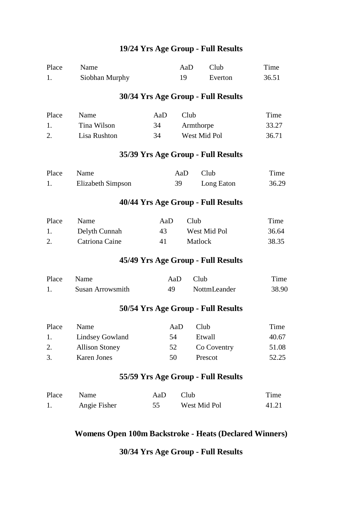| Place | Name                   |     | AaD  | Club                               | Time  |
|-------|------------------------|-----|------|------------------------------------|-------|
| 1.    | Siobhan Murphy         |     | 19   | Everton                            | 36.51 |
|       |                        |     |      | 30/34 Yrs Age Group - Full Results |       |
| Place | Name                   | AaD | Club |                                    | Time  |
| 1.    | Tina Wilson            | 34  |      | Armthorpe                          | 33.27 |
| 2.    | Lisa Rushton           | 34  |      | West Mid Pol                       | 36.71 |
|       |                        |     |      | 35/39 Yrs Age Group - Full Results |       |
| Place | Name                   |     | AaD  | Club                               | Time  |
| 1.    | Elizabeth Simpson      |     | 39   | Long Eaton                         | 36.29 |
|       |                        |     |      | 40/44 Yrs Age Group - Full Results |       |
| Place | Name                   | AaD | Club |                                    | Time  |
| 1.    | Delyth Cunnah          | 43  |      | West Mid Pol                       | 36.64 |
| 2.    | Catriona Caine         | 41  |      | Matlock                            | 38.35 |
|       |                        |     |      | 45/49 Yrs Age Group - Full Results |       |
| Place | Name                   | AaD |      | Club                               | Time  |
| 1.    | Susan Arrowsmith       | 49  |      | NottmLeander                       | 38.90 |
|       |                        |     |      | 50/54 Yrs Age Group - Full Results |       |
| Place | Name                   | AaD |      | Club                               | Time  |
| 1.    | <b>Lindsey Gowland</b> | 54  |      | Etwall                             | 40.67 |
| 2.    | <b>Allison Stoney</b>  | 52  |      | Co Coventry                        | 51.08 |
| 3.    | <b>Karen Jones</b>     | 50  |      | Prescot                            | 52.25 |
|       |                        |     |      |                                    |       |

# **55/59 Yrs Age Group - Full Results**

| Place | Name         | AaD Club |              | Time  |
|-------|--------------|----------|--------------|-------|
|       | Angie Fisher |          | West Mid Pol | 41.21 |

# **Womens Open 100m Backstroke - Heats (Declared Winners)**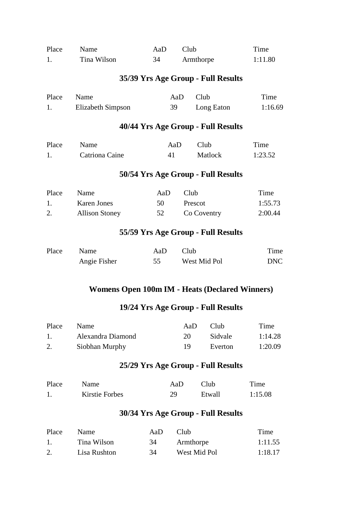| Place | Name                                           | AaD                                | Club         |            | Time       |
|-------|------------------------------------------------|------------------------------------|--------------|------------|------------|
| 1.    | Tina Wilson                                    | 34                                 | Armthorpe    |            | 1:11.80    |
|       |                                                | 35/39 Yrs Age Group - Full Results |              |            |            |
| Place | Name                                           |                                    | Club<br>AaD  |            | Time       |
| 1.    | <b>Elizabeth Simpson</b>                       | 39                                 |              | Long Eaton | 1:16.69    |
|       |                                                | 40/44 Yrs Age Group - Full Results |              |            |            |
| Place | Name                                           | AaD                                | Club         |            | Time       |
| 1.    | Catriona Caine                                 | 41                                 | Matlock      |            | 1:23.52    |
|       |                                                | 50/54 Yrs Age Group - Full Results |              |            |            |
| Place | Name                                           | AaD                                | Club         |            | Time       |
| 1.    | <b>Karen Jones</b>                             | 50                                 | Prescot      |            | 1:55.73    |
| 2.    | <b>Allison Stoney</b>                          | 52                                 | Co Coventry  |            | 2:00.44    |
|       |                                                | 55/59 Yrs Age Group - Full Results |              |            |            |
| Place | Name                                           | AaD                                | Club         |            | Time       |
|       | Angie Fisher                                   | 55                                 | West Mid Pol |            | <b>DNC</b> |
|       |                                                |                                    |              |            |            |
|       | Womens Open 100m IM - Heats (Declared Winners) |                                    |              |            |            |

| Place          | <b>Name</b>       | AaD | Club.          | Time    |
|----------------|-------------------|-----|----------------|---------|
| $\mathbf{1}$ . | Alexandra Diamond | 20. | <b>Sidvale</b> | 1:14.28 |
|                | Siobhan Murphy    | 19. | Everton        | 1:20.09 |

# **25/29 Yrs Age Group - Full Results**

| Place | <b>Name</b>    | AaD. | Club   | Time    |
|-------|----------------|------|--------|---------|
|       | Kirstie Forbes | 29   | Etwall | 1:15.08 |

| Place | <b>Name</b>  | AaD. | Club         | Time    |
|-------|--------------|------|--------------|---------|
| $\pm$ | Tina Wilson  | 34   | Armthorpe    | 1:11.55 |
| 2.    | Lisa Rushton | 34   | West Mid Pol | 1:18.17 |